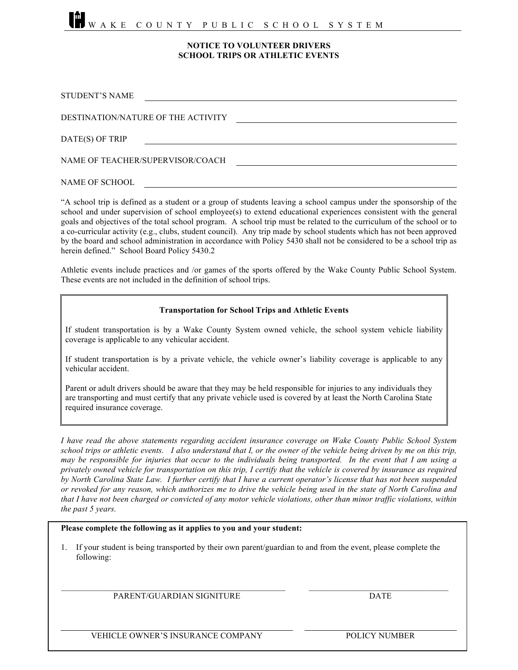## **NOTICE TO VOLUNTEER DRIVERS SCHOOL TRIPS OR ATHLETIC EVENTS**

| STUDENT'S NAME                     |  |
|------------------------------------|--|
| DESTINATION/NATURE OF THE ACTIVITY |  |
| DATE(S) OF TRIP                    |  |
| NAME OF TEACHER/SUPERVISOR/COACH   |  |

NAME OF SCHOOL

"A school trip is defined as a student or a group of students leaving a school campus under the sponsorship of the school and under supervision of school employee(s) to extend educational experiences consistent with the general goals and objectives of the total school program. A school trip must be related to the curriculum of the school or to a co-curricular activity (e.g., clubs, student council). Any trip made by school students which has not been approved by the board and school administration in accordance with Policy 5430 shall not be considered to be a school trip as herein defined." School Board Policy 5430.2

Athletic events include practices and /or games of the sports offered by the Wake County Public School System. These events are not included in the definition of school trips.

## **Transportation for School Trips and Athletic Events**

If student transportation is by a Wake County System owned vehicle, the school system vehicle liability coverage is applicable to any vehicular accident.

If student transportation is by a private vehicle, the vehicle owner's liability coverage is applicable to any vehicular accident.

Parent or adult drivers should be aware that they may be held responsible for injuries to any individuals they are transporting and must certify that any private vehicle used is covered by at least the North Carolina State required insurance coverage.

*I have read the above statements regarding accident insurance coverage on Wake County Public School System school trips or athletic events. I also understand that I, or the owner of the vehicle being driven by me on this trip, may be responsible for injuries that occur to the individuals being transported. In the event that I am using a privately owned vehicle for transportation on this trip, I certify that the vehicle is covered by insurance as required by North Carolina State Law. I further certify that I have a current operator's license that has not been suspended or revoked for any reason, which authorizes me to drive the vehicle being used in the state of North Carolina and that I have not been charged or convicted of any motor vehicle violations, other than minor traffic violations, within the past 5 years.*

## **Please complete the following as it applies to you and your student:**

1. If your student is being transported by their own parent/guardian to and from the event, please complete the following:

PARENT/GUARDIAN SIGNITURE

DATE

VEHICLE OWNER'S INSURANCE COMPANY POLICY NUMBER